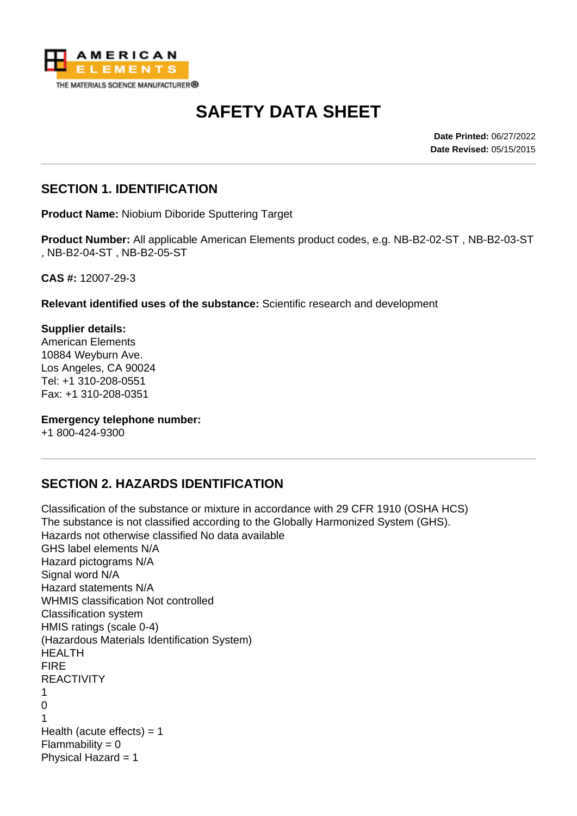

# **SAFETY DATA SHEET**

**Date Printed:** 06/27/2022 **Date Revised:** 05/15/2015

#### **SECTION 1. IDENTIFICATION**

**Product Name:** Niobium Diboride Sputtering Target

**Product Number:** All applicable American Elements product codes, e.g. NB-B2-02-ST , NB-B2-03-ST , NB-B2-04-ST , NB-B2-05-ST

**CAS #:** 12007-29-3

**Relevant identified uses of the substance:** Scientific research and development

**Supplier details:** American Elements 10884 Weyburn Ave. Los Angeles, CA 90024 Tel: +1 310-208-0551 Fax: +1 310-208-0351

**Emergency telephone number:**

+1 800-424-9300

#### **SECTION 2. HAZARDS IDENTIFICATION**

Classification of the substance or mixture in accordance with 29 CFR 1910 (OSHA HCS) The substance is not classified according to the Globally Harmonized System (GHS). Hazards not otherwise classified No data available GHS label elements N/A Hazard pictograms N/A Signal word N/A Hazard statements N/A WHMIS classification Not controlled Classification system HMIS ratings (scale 0-4) (Hazardous Materials Identification System) HEALTH FIRE REACTIVITY 1  $\Omega$ 1 Health (acute effects)  $= 1$  $Flammability = 0$ Physical Hazard = 1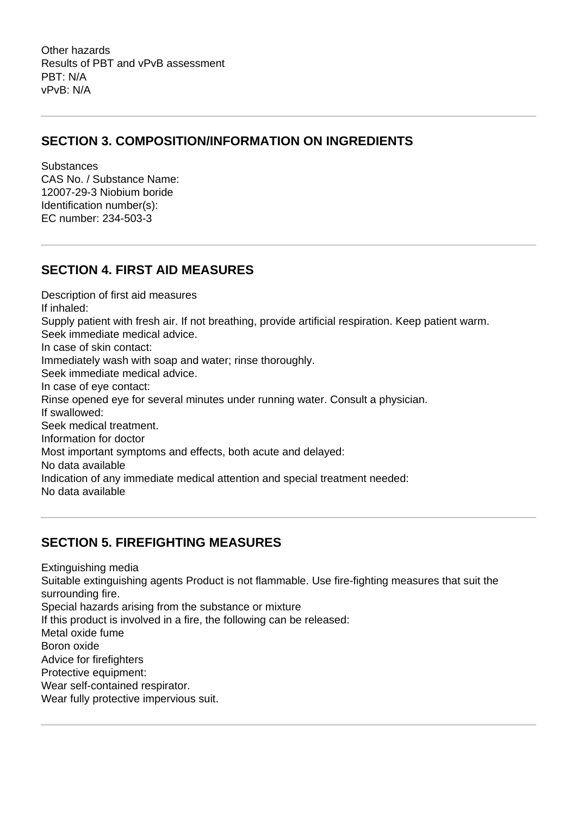Other hazards Results of PBT and vPvB assessment PBT: N/A vPvB: N/A

#### **SECTION 3. COMPOSITION/INFORMATION ON INGREDIENTS**

**Substances** CAS No. / Substance Name: 12007-29-3 Niobium boride Identification number(s): EC number: 234-503-3

#### **SECTION 4. FIRST AID MEASURES**

Description of first aid measures If inhaled: Supply patient with fresh air. If not breathing, provide artificial respiration. Keep patient warm. Seek immediate medical advice. In case of skin contact: Immediately wash with soap and water; rinse thoroughly. Seek immediate medical advice. In case of eye contact: Rinse opened eye for several minutes under running water. Consult a physician. If swallowed: Seek medical treatment. Information for doctor Most important symptoms and effects, both acute and delayed: No data available Indication of any immediate medical attention and special treatment needed: No data available

## **SECTION 5. FIREFIGHTING MEASURES**

Extinguishing media Suitable extinguishing agents Product is not flammable. Use fire-fighting measures that suit the surrounding fire. Special hazards arising from the substance or mixture If this product is involved in a fire, the following can be released: Metal oxide fume Boron oxide Advice for firefighters Protective equipment: Wear self-contained respirator. Wear fully protective impervious suit.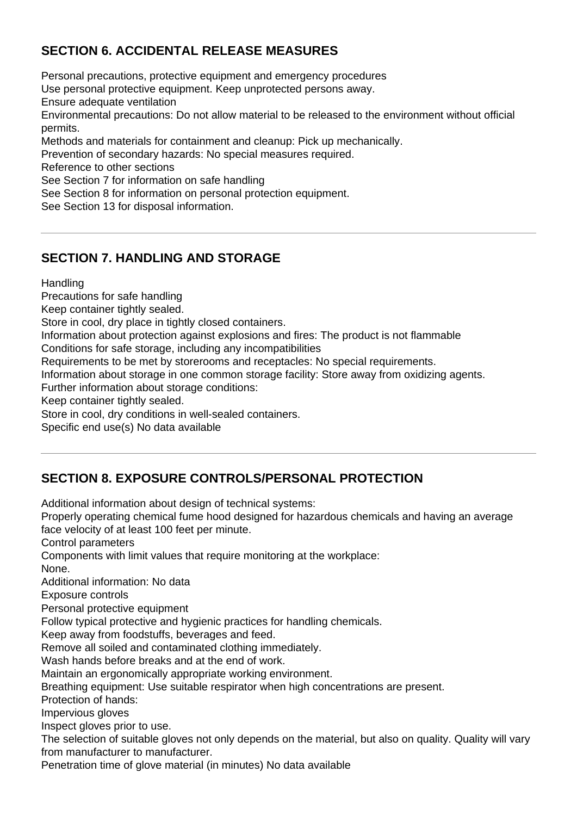## **SECTION 6. ACCIDENTAL RELEASE MEASURES**

Personal precautions, protective equipment and emergency procedures Use personal protective equipment. Keep unprotected persons away. Ensure adequate ventilation Environmental precautions: Do not allow material to be released to the environment without official permits. Methods and materials for containment and cleanup: Pick up mechanically. Prevention of secondary hazards: No special measures required. Reference to other sections See Section 7 for information on safe handling See Section 8 for information on personal protection equipment. See Section 13 for disposal information.

## **SECTION 7. HANDLING AND STORAGE**

**Handling** 

Precautions for safe handling

Keep container tightly sealed.

Store in cool, dry place in tightly closed containers.

Information about protection against explosions and fires: The product is not flammable

Conditions for safe storage, including any incompatibilities

Requirements to be met by storerooms and receptacles: No special requirements.

Information about storage in one common storage facility: Store away from oxidizing agents.

Further information about storage conditions:

Keep container tightly sealed.

Store in cool, dry conditions in well-sealed containers.

Specific end use(s) No data available

## **SECTION 8. EXPOSURE CONTROLS/PERSONAL PROTECTION**

Additional information about design of technical systems:

Properly operating chemical fume hood designed for hazardous chemicals and having an average face velocity of at least 100 feet per minute.

Control parameters

Components with limit values that require monitoring at the workplace:

None.

Additional information: No data

Exposure controls

Personal protective equipment

Follow typical protective and hygienic practices for handling chemicals.

Keep away from foodstuffs, beverages and feed.

Remove all soiled and contaminated clothing immediately.

Wash hands before breaks and at the end of work.

Maintain an ergonomically appropriate working environment.

Breathing equipment: Use suitable respirator when high concentrations are present.

Protection of hands:

Impervious gloves

Inspect gloves prior to use.

The selection of suitable gloves not only depends on the material, but also on quality. Quality will vary from manufacturer to manufacturer.

Penetration time of glove material (in minutes) No data available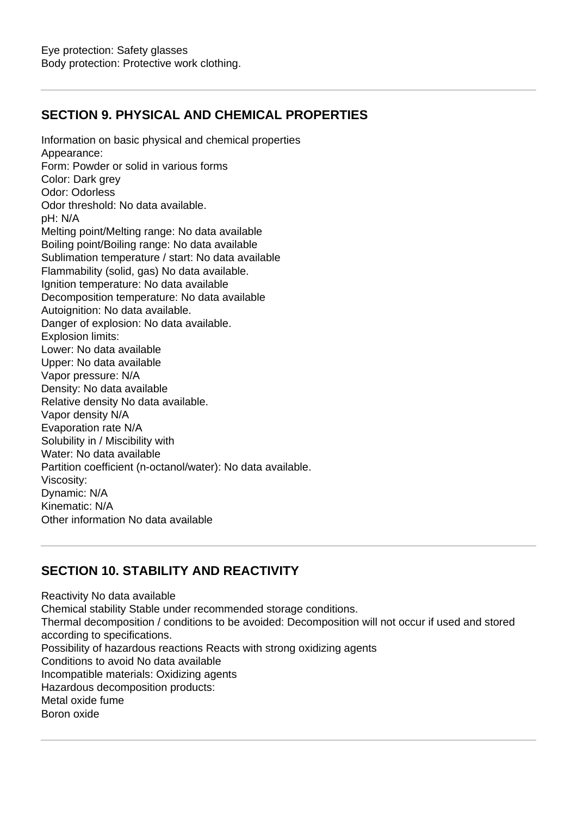## **SECTION 9. PHYSICAL AND CHEMICAL PROPERTIES**

Information on basic physical and chemical properties Appearance: Form: Powder or solid in various forms Color: Dark grey Odor: Odorless Odor threshold: No data available. pH: N/A Melting point/Melting range: No data available Boiling point/Boiling range: No data available Sublimation temperature / start: No data available Flammability (solid, gas) No data available. Ignition temperature: No data available Decomposition temperature: No data available Autoignition: No data available. Danger of explosion: No data available. Explosion limits: Lower: No data available Upper: No data available Vapor pressure: N/A Density: No data available Relative density No data available. Vapor density N/A Evaporation rate N/A Solubility in / Miscibility with Water: No data available Partition coefficient (n-octanol/water): No data available. Viscosity: Dynamic: N/A Kinematic: N/A Other information No data available

## **SECTION 10. STABILITY AND REACTIVITY**

Reactivity No data available Chemical stability Stable under recommended storage conditions. Thermal decomposition / conditions to be avoided: Decomposition will not occur if used and stored according to specifications. Possibility of hazardous reactions Reacts with strong oxidizing agents Conditions to avoid No data available Incompatible materials: Oxidizing agents Hazardous decomposition products: Metal oxide fume Boron oxide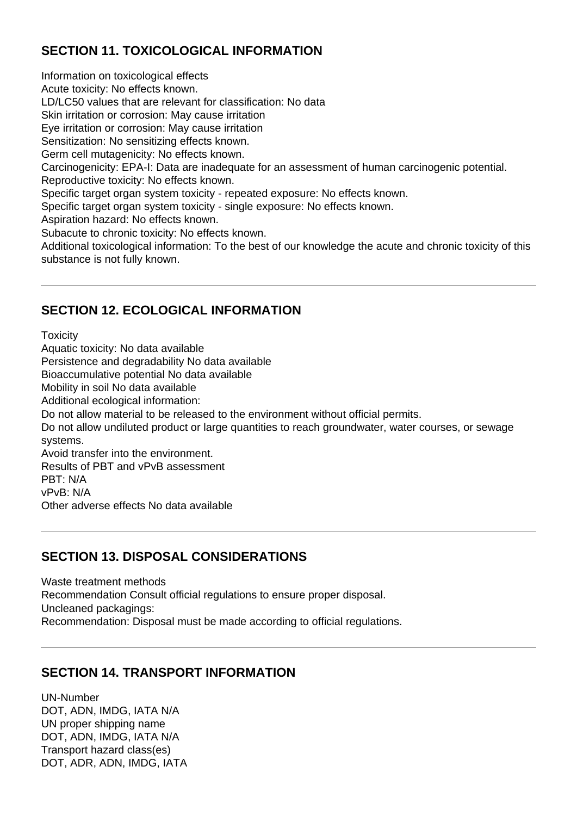## **SECTION 11. TOXICOLOGICAL INFORMATION**

Information on toxicological effects Acute toxicity: No effects known. LD/LC50 values that are relevant for classification: No data Skin irritation or corrosion: May cause irritation Eye irritation or corrosion: May cause irritation Sensitization: No sensitizing effects known. Germ cell mutagenicity: No effects known. Carcinogenicity: EPA-I: Data are inadequate for an assessment of human carcinogenic potential. Reproductive toxicity: No effects known. Specific target organ system toxicity - repeated exposure: No effects known. Specific target organ system toxicity - single exposure: No effects known. Aspiration hazard: No effects known. Subacute to chronic toxicity: No effects known. Additional toxicological information: To the best of our knowledge the acute and chronic toxicity of this substance is not fully known.

#### **SECTION 12. ECOLOGICAL INFORMATION**

**Toxicity** Aquatic toxicity: No data available Persistence and degradability No data available Bioaccumulative potential No data available Mobility in soil No data available Additional ecological information: Do not allow material to be released to the environment without official permits. Do not allow undiluted product or large quantities to reach groundwater, water courses, or sewage systems. Avoid transfer into the environment. Results of PBT and vPvB assessment PBT: N/A vPvB: N/A Other adverse effects No data available

#### **SECTION 13. DISPOSAL CONSIDERATIONS**

Waste treatment methods Recommendation Consult official regulations to ensure proper disposal. Uncleaned packagings: Recommendation: Disposal must be made according to official regulations.

#### **SECTION 14. TRANSPORT INFORMATION**

UN-Number DOT, ADN, IMDG, IATA N/A UN proper shipping name DOT, ADN, IMDG, IATA N/A Transport hazard class(es) DOT, ADR, ADN, IMDG, IATA